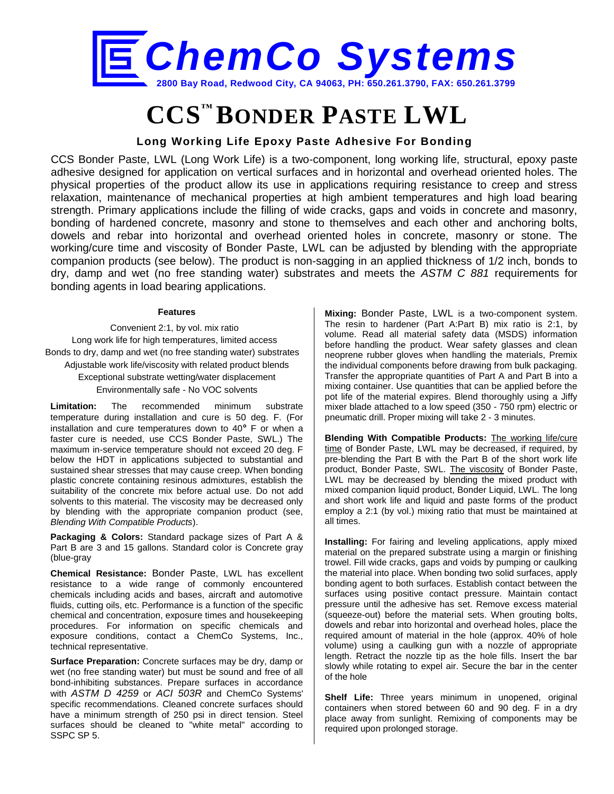

# **CCS™ BONDER PASTE LWL**

## **Long Working Life Epoxy Paste Adhesive For Bonding**

CCS Bonder Paste, LWL (Long Work Life) is a two-component, long working life, structural, epoxy paste adhesive designed for application on vertical surfaces and in horizontal and overhead oriented holes. The physical properties of the product allow its use in applications requiring resistance to creep and stress relaxation, maintenance of mechanical properties at high ambient temperatures and high load bearing strength. Primary applications include the filling of wide cracks, gaps and voids in concrete and masonry, bonding of hardened concrete, masonry and stone to themselves and each other and anchoring bolts, dowels and rebar into horizontal and overhead oriented holes in concrete, masonry or stone. The working/cure time and viscosity of Bonder Paste, LWL can be adjusted by blending with the appropriate companion products (see below). The product is non-sagging in an applied thickness of 1/2 inch, bonds to dry, damp and wet (no free standing water) substrates and meets the *ASTM C 881* requirements for bonding agents in load bearing applications.

### **Features**

Convenient 2:1, by vol. mix ratio Long work life for high temperatures, limited access Bonds to dry, damp and wet (no free standing water) substrates Adjustable work life/viscosity with related product blends Exceptional substrate wetting/water displacement Environmentally safe - No VOC solvents

**Limitation:** The recommended minimum substrate temperature during installation and cure is 50 deg. F. (For installation and cure temperatures down to 40**°** F or when a faster cure is needed, use CCS Bonder Paste, SWL.) The maximum in-service temperature should not exceed 20 deg. F below the HDT in applications subjected to substantial and sustained shear stresses that may cause creep. When bonding plastic concrete containing resinous admixtures, establish the suitability of the concrete mix before actual use. Do not add solvents to this material. The viscosity may be decreased only by blending with the appropriate companion product (see, *Blending With Compatible Products*).

**Packaging & Colors:** Standard package sizes of Part A & Part B are 3 and 15 gallons. Standard color is Concrete gray (blue-gray

**Chemical Resistance:** Bonder Paste, LWL has excellent resistance to a wide range of commonly encountered chemicals including acids and bases, aircraft and automotive fluids, cutting oils, etc. Performance is a function of the specific chemical and concentration, exposure times and housekeeping procedures. For information on specific chemicals and exposure conditions, contact a ChemCo Systems, Inc., technical representative.

**Surface Preparation:** Concrete surfaces may be dry, damp or wet (no free standing water) but must be sound and free of all bond-inhibiting substances. Prepare surfaces in accordance with *ASTM D 4259* or *ACI 503R* and ChemCo Systems' specific recommendations. Cleaned concrete surfaces should have a minimum strength of 250 psi in direct tension. Steel surfaces should be cleaned to "white metal" according to SSPC SP 5.

**Mixing:** Bonder Paste, LWL is a two-component system. The resin to hardener (Part A:Part B) mix ratio is 2:1, by volume. Read all material safety data (MSDS) information before handling the product. Wear safety glasses and clean neoprene rubber gloves when handling the materials, Premix the individual components before drawing from bulk packaging. Transfer the appropriate quantities of Part A and Part B into a mixing container. Use quantities that can be applied before the pot life of the material expires. Blend thoroughly using a Jiffy mixer blade attached to a low speed (350 - 750 rpm) electric or pneumatic drill. Proper mixing will take 2 - 3 minutes.

**Blending With Compatible Products:** The working life/cure time of Bonder Paste, LWL may be decreased, if required, by pre-blending the Part B with the Part B of the short work life product, Bonder Paste, SWL. The viscosity of Bonder Paste, LWL may be decreased by blending the mixed product with mixed companion liquid product, Bonder Liquid, LWL. The long and short work life and liquid and paste forms of the product employ a 2:1 (by vol.) mixing ratio that must be maintained at all times.

**Installing:** For fairing and leveling applications, apply mixed material on the prepared substrate using a margin or finishing trowel. Fill wide cracks, gaps and voids by pumping or caulking the material into place. When bonding two solid surfaces, apply bonding agent to both surfaces. Establish contact between the surfaces using positive contact pressure. Maintain contact pressure until the adhesive has set. Remove excess material (squeeze-out) before the material sets. When grouting bolts, dowels and rebar into horizontal and overhead holes, place the required amount of material in the hole (approx. 40% of hole volume) using a caulking gun with a nozzle of appropriate length. Retract the nozzle tip as the hole fills. Insert the bar slowly while rotating to expel air. Secure the bar in the center of the hole

**Shelf Life:** Three years minimum in unopened, original containers when stored between 60 and 90 deg. F in a dry place away from sunlight. Remixing of components may be required upon prolonged storage.